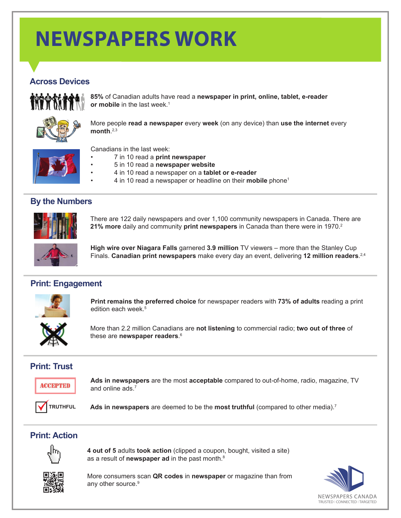# **NEWSPAPERS WORK**

## **Across Devices**



**85%** of Canadian adults have read a **newspaper in print, online, tablet, e-reader or mobile** in the last week.<sup>1</sup>



More people **read a newspaper** every **week** (on any device) than **use the internet** every **month**. 2,3

Canadians in the last week:

- • 7 in 10 read a **print newspaper**
- 5 in 10 read a **newspaper website**
- 4 in 10 read a newspaper on a **tablet or e-reader**
- 4 in 10 read a newspaper or headline on their **mobile** phone<sup>1</sup>

### **By the Numbers**



There are 122 daily newspapers and over 1,100 community newspapers in Canada. There are **21% more** daily and community **print newspapers** in Canada than there were in 1970.<sup>2</sup>



**High wire over Niagara Falls** garnered **3.9 million** TV viewers – more than the Stanley Cup Finals. **Canadian print newspapers** make every day an event, delivering **12 million readers**. 2,4

### **Print: Engagement**



**Print remains the preferred choice** for newspaper readers with **73% of adults** reading a print edition each week.<sup>5</sup>



More than 2.2 million Canadians are **not listening** to commercial radio; **two out of three** of these are **newspaper readers**. 6

## **Print: Trust**



**Ads in newspapers** are the most **acceptable** compared to out-of-home, radio, magazine, TV and online ads.<sup>7</sup>



**Ads in newspapers** are deemed to be the **most truthful** (compared to other media).7

### **Print: Action**



**4 out of 5** adults **took action** (clipped a coupon, bought, visited a site) as a result of **newspaper ad** in the past month.<sup>8</sup>





More consumers scan **QR codes** in **newspaper** or magazine than from any other source.<sup>9</sup>